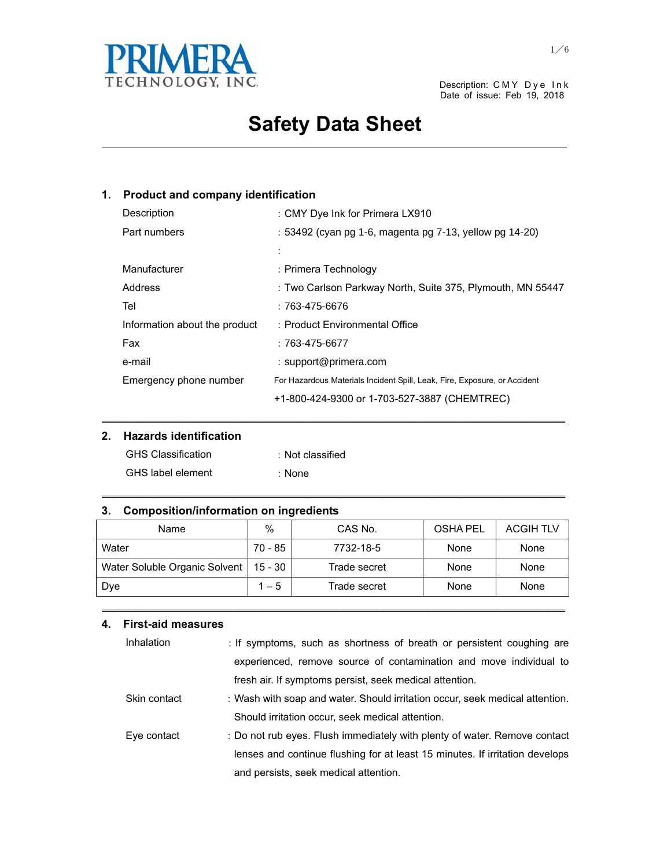

Date of issue: Feb 19, 2018

# **Safety Data Sheet**

and the control of the control of the control of the control of the control of the control of the control of the

### **1. Product and company identification**

| Description                   | : CMY Dye Ink for Primera LX910                                           |
|-------------------------------|---------------------------------------------------------------------------|
| Part numbers                  | : 53492 (cyan pg 1-6, magenta pg 7-13, yellow pg 14-20)                   |
|                               | $\vdots$                                                                  |
| Manufacturer                  | : Primera Technology                                                      |
| Address                       | : Two Carlson Parkway North, Suite 375, Plymouth, MN 55447                |
| Tel                           | : 763-475-6676                                                            |
| Information about the product | : Product Environmental Office                                            |
| Fax                           | $:763-475-6677$                                                           |
| e-mail                        | : support@primera.com                                                     |
| Emergency phone number        | For Hazardous Materials Incident Spill, Leak, Fire, Exposure, or Accident |
|                               | +1-800-424-9300 or 1-703-527-3887 (CHEMTREC)                              |

### **2. Hazards identification**

| <b>GHS Classification</b> | : Not classified |
|---------------------------|------------------|
| <b>GHS</b> label element  | : None           |

### **3. Composition/information on ingredients**

| Name                          | %       | CAS No.      | OSHA PEL | <b>ACGIH TLV</b> |
|-------------------------------|---------|--------------|----------|------------------|
| Water                         | 70 - 85 | 7732-18-5    | None     | None             |
| Water Soluble Organic Solvent | 15 - 30 | Trade secret | None     | None             |
| Dye                           | $1 - 5$ | Trade secret | None     | None             |

㹝㹝㹝㹝㹝㹝㹝㹝㹝㹝㹝㹝㹝㹝㹝㹝㹝㹝㹝㹝㹝㹝㹝㹝㹝㹝㹝㹝㹝㹝㹝㹝㹝㹝㹝㹝㹝㹝㹝㹝㹝㹝㹝㹝㹝

㹝㹝㹝㹝㹝㹝㹝㹝㹝㹝㹝㹝㹝㹝㹝㹝㹝㹝㹝㹝㹝㹝㹝㹝㹝㹝㹝㹝㹝㹝㹝㹝㹝㹝㹝㹝㹝㹝㹝㹝㹝㹝㹝㹝㹝

㹝㹝㹝㹝㹝㹝㹝㹝㹝㹝㹝㹝㹝㹝㹝㹝㹝㹝㹝㹝㹝㹝㹝㹝㹝㹝㹝㹝㹝㹝㹝㹝㹝㹝㹝㹝㹝㹝㹝㹝㹝㹝㹝㹝㹝

### **4. First-aid measures**

| Inhalation   | : If symptoms, such as shortness of breath or persistent coughing are        |  |
|--------------|------------------------------------------------------------------------------|--|
|              | experienced, remove source of contamination and move individual to           |  |
|              | fresh air. If symptoms persist, seek medical attention.                      |  |
| Skin contact | : Wash with soap and water. Should irritation occur, seek medical attention. |  |
|              | Should irritation occur, seek medical attention.                             |  |
| Eye contact  | : Do not rub eyes. Flush immediately with plenty of water. Remove contact    |  |
|              | lenses and continue flushing for at least 15 minutes. If irritation develops |  |
|              | and persists, seek medical attention.                                        |  |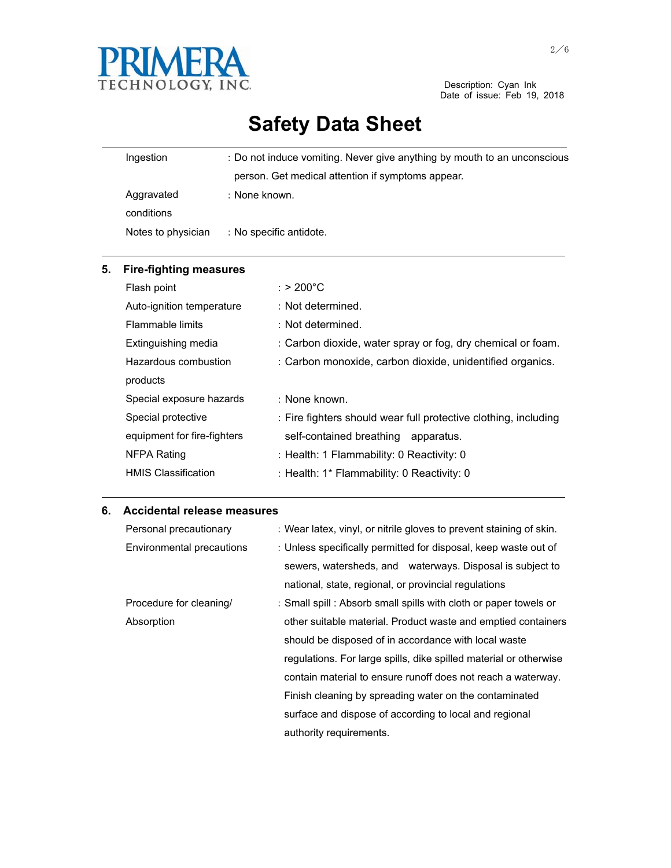

Description: Cyan Ink<br>Date of issue: Feb 19, 2018

# **Safety Data Sheet**

| Ingestion |                          | : Do not induce vomiting. Never give anything by mouth to an unconscious |
|-----------|--------------------------|--------------------------------------------------------------------------|
|           |                          | person. Get medical attention if symptoms appear.                        |
|           | Aggravated<br>conditions | : None known.                                                            |
|           | Notes to physician       | : No specific antidote.                                                  |

| 5. | <b>Fire-fighting measures</b> |                                                                 |
|----|-------------------------------|-----------------------------------------------------------------|
|    | Flash point                   | : > 200°C                                                       |
|    | Auto-ignition temperature     | : Not determined.                                               |
|    | Flammable limits              | $\pm$ Not determined.                                           |
|    | Extinguishing media           | : Carbon dioxide, water spray or fog, dry chemical or foam.     |
|    | Hazardous combustion          | : Carbon monoxide, carbon dioxide, unidentified organics.       |
|    | products                      |                                                                 |
|    | Special exposure hazards      | : None known.                                                   |
|    | Special protective            | : Fire fighters should wear full protective clothing, including |
|    | equipment for fire-fighters   | self-contained breathing apparatus.                             |
|    | NFPA Rating                   | : Health: 1 Flammability: 0 Reactivity: 0                       |
|    | <b>HMIS Classification</b>    | : Health: 1* Flammability: 0 Reactivity: 0                      |

<u> 1989 - Johann Stoff, amerikansk politiker (d. 1989)</u>

### **6. Accidental release measures**

| Personal precautionary    | : Wear latex, vinyl, or nitrile gloves to prevent staining of skin. |
|---------------------------|---------------------------------------------------------------------|
| Environmental precautions | : Unless specifically permitted for disposal, keep waste out of     |
|                           | sewers, watersheds, and waterways. Disposal is subject to           |
|                           | national, state, regional, or provincial regulations                |
| Procedure for cleaning/   | : Small spill : Absorb small spills with cloth or paper towels or   |
| Absorption                | other suitable material. Product waste and emptied containers       |
|                           | should be disposed of in accordance with local waste                |
|                           | regulations. For large spills, dike spilled material or otherwise   |
|                           | contain material to ensure runoff does not reach a waterway.        |
|                           | Finish cleaning by spreading water on the contaminated              |
|                           | surface and dispose of according to local and regional              |
|                           | authority requirements.                                             |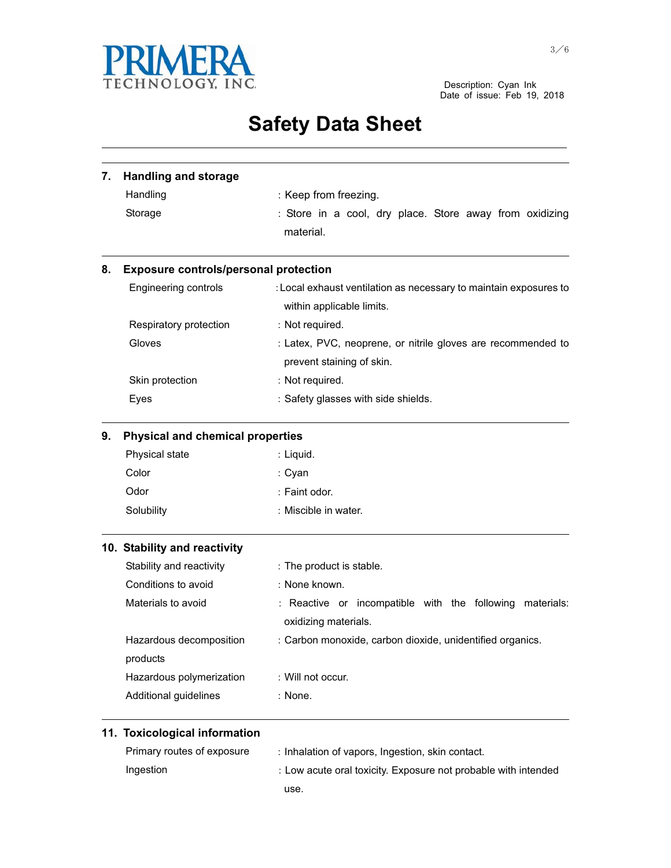

Description: Cyan Ink<br>Date of issue: Feb 19, 2018

## **Safety Data Sheet** and the control of the control of the control of the control of the control of the control of the control of the

| 7. | <b>Handling and storage</b>                  |                                                                                                |  |
|----|----------------------------------------------|------------------------------------------------------------------------------------------------|--|
|    | Handling                                     | : Keep from freezing.                                                                          |  |
|    | Storage                                      | : Store in a cool, dry place. Store away from oxidizing                                        |  |
|    |                                              | material.                                                                                      |  |
| 8. | <b>Exposure controls/personal protection</b> |                                                                                                |  |
|    | Engineering controls                         | : Local exhaust ventilation as necessary to maintain exposures to<br>within applicable limits. |  |
|    | Respiratory protection                       | : Not required.                                                                                |  |
|    | Gloves                                       | : Latex, PVC, neoprene, or nitrile gloves are recommended to                                   |  |
|    |                                              | prevent staining of skin.                                                                      |  |
|    | Skin protection                              | : Not required.                                                                                |  |
|    | Eyes                                         | : Safety glasses with side shields.                                                            |  |
| 9. | <b>Physical and chemical properties</b>      |                                                                                                |  |
|    | Physical state                               | : Liquid.                                                                                      |  |
|    | Color                                        | : Cyan                                                                                         |  |
|    | Odor                                         | : Faint odor.                                                                                  |  |
|    | Solubility                                   | : Miscible in water.                                                                           |  |
|    | 10. Stability and reactivity                 |                                                                                                |  |
|    | Stability and reactivity                     | : The product is stable.                                                                       |  |
|    | Conditions to avoid                          | : None known.                                                                                  |  |
|    | Materials to avoid                           | : Reactive or incompatible with the following<br>materials:<br>oxidizing materials.            |  |
|    | Hazardous decomposition                      | : Carbon monoxide, carbon dioxide, unidentified organics.                                      |  |
|    | products                                     |                                                                                                |  |
|    | Hazardous polymerization                     | : Will not occur.                                                                              |  |
|    | Additional guidelines                        | : None.                                                                                        |  |
|    | 11. Toxicological information                |                                                                                                |  |
|    | Primary routes of exposure                   | : Inhalation of vapors, Ingestion, skin contact.                                               |  |
|    | Ingestion                                    | : Low acute oral toxicity. Exposure not probable with intended                                 |  |

use.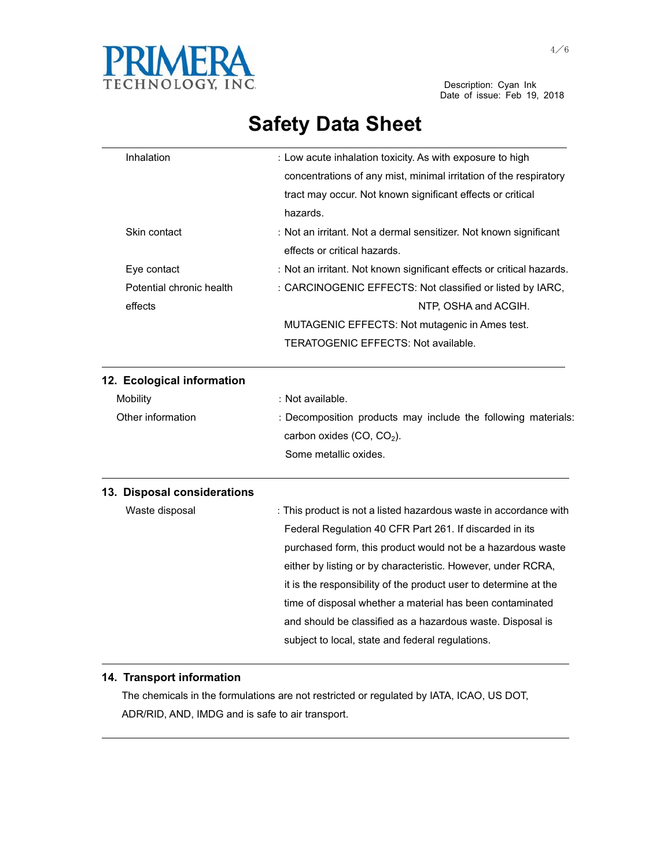

| Inhalation                  | : Low acute inhalation toxicity. As with exposure to high             |
|-----------------------------|-----------------------------------------------------------------------|
|                             | concentrations of any mist, minimal irritation of the respiratory     |
|                             | tract may occur. Not known significant effects or critical            |
|                             | hazards.                                                              |
| Skin contact                | : Not an irritant. Not a dermal sensitizer. Not known significant     |
|                             | effects or critical hazards.                                          |
| Eye contact                 | : Not an irritant. Not known significant effects or critical hazards. |
| Potential chronic health    | : CARCINOGENIC EFFECTS: Not classified or listed by IARC,             |
| effects                     | NTP, OSHA and ACGIH.                                                  |
|                             | MUTAGENIC EFFECTS: Not mutagenic in Ames test.                        |
|                             | TERATOGENIC EFFECTS: Not available.                                   |
| 12. Ecological information  |                                                                       |
| Mobility                    | : Not available.                                                      |
| Other information           | : Decomposition products may include the following materials:         |
|                             | carbon oxides (CO, CO <sub>2</sub> ).                                 |
|                             | Some metallic oxides.                                                 |
| 13. Disposal considerations |                                                                       |
| Waste disposal              | : This product is not a listed hazardous waste in accordance with     |
|                             | Federal Regulation 40 CFR Part 261. If discarded in its               |
|                             | purchased form, this product would not be a hazardous waste           |
|                             | either by listing or by characteristic. However, under RCRA,          |
|                             | it is the responsibility of the product user to determine at the      |
|                             | time of disposal whether a material has been contaminated             |
|                             | and should be classified as a hazardous waste. Disposal is            |
|                             | subject to local, state and federal regulations.                      |

### **14. Transport information**

 The chemicals in the formulations are not restricted or regulated by IATA, ICAO, US DOT, ADR/RID, AND, IMDG and is safe to air transport.

the contract of the contract of the contract of the contract of the contract of the contract of the contract of

<u> 1989 - Johann Stoff, amerikansk politiker (d. 1989)</u>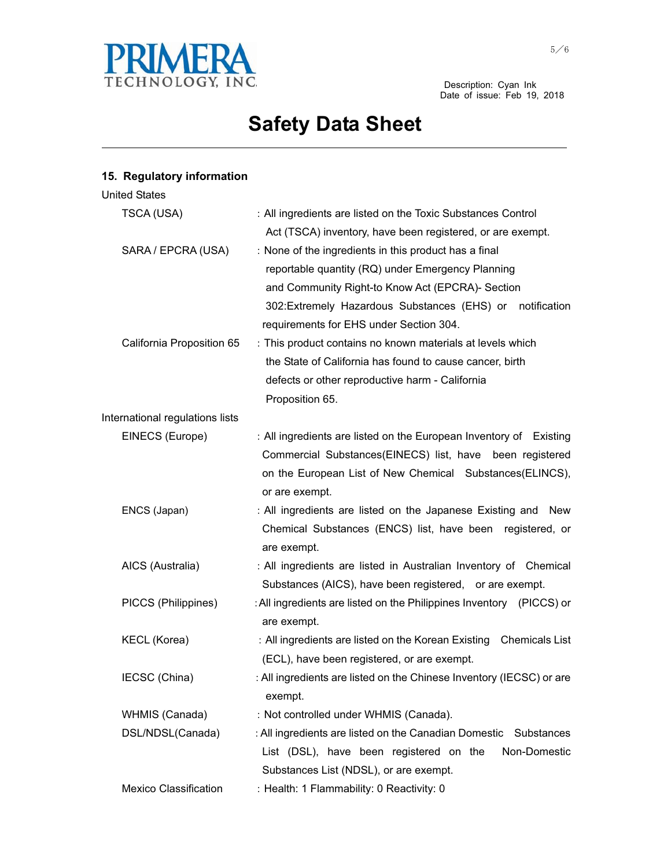

and the control of the control of the control of the control of the control of the control of the control of the

## **15. Regulatory information**

| <b>United States</b>            |                                                                                                                                                                                                                                                                        |
|---------------------------------|------------------------------------------------------------------------------------------------------------------------------------------------------------------------------------------------------------------------------------------------------------------------|
| TSCA (USA)                      | : All ingredients are listed on the Toxic Substances Control<br>Act (TSCA) inventory, have been registered, or are exempt.                                                                                                                                             |
| SARA / EPCRA (USA)              | : None of the ingredients in this product has a final<br>reportable quantity (RQ) under Emergency Planning<br>and Community Right-to Know Act (EPCRA)- Section<br>302: Extremely Hazardous Substances (EHS) or notification<br>requirements for EHS under Section 304. |
| California Proposition 65       | : This product contains no known materials at levels which<br>the State of California has found to cause cancer, birth<br>defects or other reproductive harm - California<br>Proposition 65.                                                                           |
| International regulations lists |                                                                                                                                                                                                                                                                        |
| EINECS (Europe)                 | : All ingredients are listed on the European Inventory of Existing<br>Commercial Substances(EINECS) list, have been registered<br>on the European List of New Chemical Substances(ELINCS),<br>or are exempt.                                                           |
| ENCS (Japan)                    | : All ingredients are listed on the Japanese Existing and New<br>Chemical Substances (ENCS) list, have been registered, or<br>are exempt.                                                                                                                              |
| AICS (Australia)                | : All ingredients are listed in Australian Inventory of Chemical<br>Substances (AICS), have been registered, or are exempt.                                                                                                                                            |
| PICCS (Philippines)             | : All ingredients are listed on the Philippines Inventory (PICCS) or<br>are exempt.                                                                                                                                                                                    |
| <b>KECL (Korea)</b>             | : All ingredients are listed on the Korean Existing Chemicals List<br>(ECL), have been registered, or are exempt.                                                                                                                                                      |
| IECSC (China)                   | : All ingredients are listed on the Chinese Inventory (IECSC) or are<br>exempt.                                                                                                                                                                                        |
| WHMIS (Canada)                  | : Not controlled under WHMIS (Canada).                                                                                                                                                                                                                                 |
| DSL/NDSL(Canada)                | : All ingredients are listed on the Canadian Domestic Substances<br>List (DSL), have been registered on the<br>Non-Domestic<br>Substances List (NDSL), or are exempt.                                                                                                  |
| <b>Mexico Classification</b>    | : Health: 1 Flammability: 0 Reactivity: 0                                                                                                                                                                                                                              |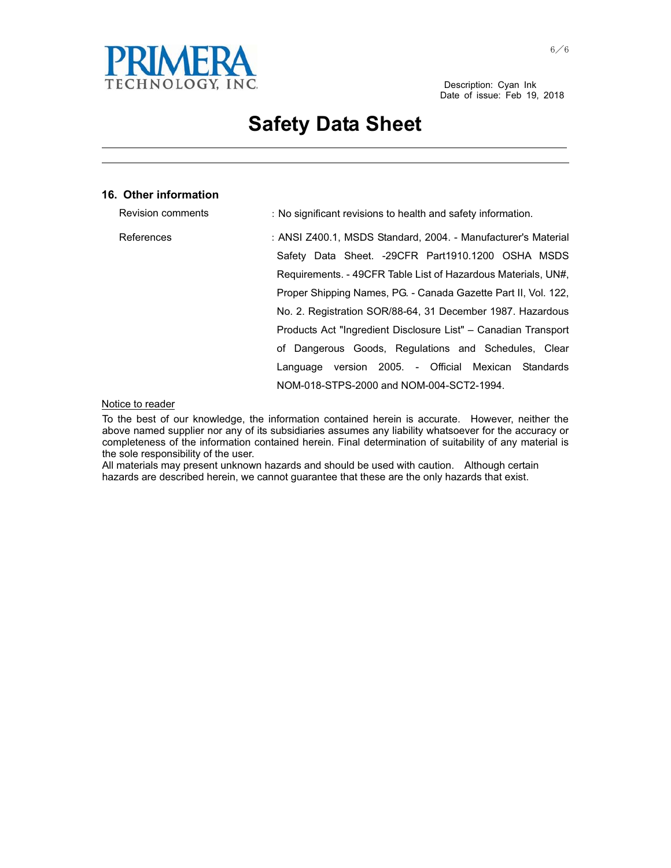

and the control of the control of the control of the control of the control of the control of the control of the the contract of the contract of the contract of the contract of the contract of the contract of the contract of

#### **16. Other information**

| Revision comments | : No significant revisions to health and safety information.   |
|-------------------|----------------------------------------------------------------|
| References        | : ANSI Z400.1, MSDS Standard, 2004. - Manufacturer's Material  |
|                   | Safety Data Sheet. -29CFR Part1910.1200 OSHA MSDS              |
|                   | Requirements. - 49CFR Table List of Hazardous Materials, UN#.  |
|                   | Proper Shipping Names, PG. - Canada Gazette Part II, Vol. 122, |
|                   | No. 2. Registration SOR/88-64, 31 December 1987. Hazardous     |
|                   | Products Act "Ingredient Disclosure List" – Canadian Transport |
|                   | of Dangerous Goods, Regulations and Schedules, Clear           |
|                   | Language version 2005. - Official Mexican Standards            |
|                   | NOM-018-STPS-2000 and NOM-004-SCT2-1994.                       |

#### Notice to reader

To the best of our knowledge, the information contained herein is accurate. However, neither the above named supplier nor any of its subsidiaries assumes any liability whatsoever for the accuracy or completeness of the information contained herein. Final determination of suitability of any material is the sole responsibility of the user.

All materials may present unknown hazards and should be used with caution. Although certain hazards are described herein, we cannot guarantee that these are the only hazards that exist.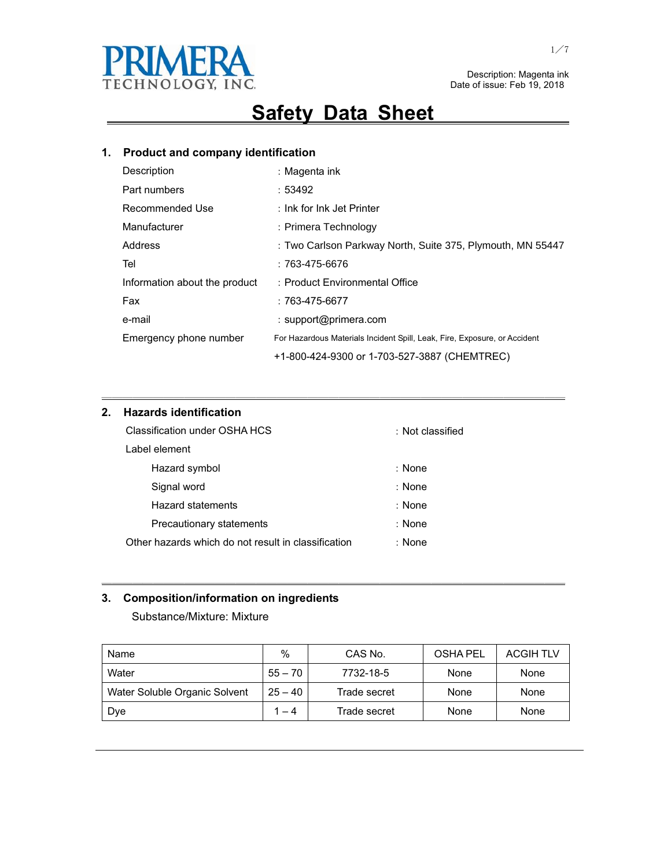

## **Safety Data Sheet**

## **1. Product and company identification**

| Description                   | : Magenta ink                                                             |
|-------------------------------|---------------------------------------------------------------------------|
| Part numbers                  | :53492                                                                    |
| Recommended Use               | : Ink for Ink Jet Printer                                                 |
| Manufacturer                  | : Primera Technology                                                      |
| Address                       | : Two Carlson Parkway North, Suite 375, Plymouth, MN 55447                |
| Tel                           | : 763-475-6676                                                            |
| Information about the product | : Product Environmental Office                                            |
| Fax                           | $:763-475-6677$                                                           |
| e-mail                        | : support@primera.com                                                     |
| Emergency phone number        | For Hazardous Materials Incident Spill, Leak, Fire, Exposure, or Accident |
|                               | +1-800-424-9300 or 1-703-527-3887 (CHEMTREC)                              |

㹝㹝㹝㹝㹝㹝㹝㹝㹝㹝㹝㹝㹝㹝㹝㹝㹝㹝㹝㹝㹝㹝㹝㹝㹝㹝㹝㹝㹝㹝㹝㹝㹝㹝㹝㹝㹝㹝㹝㹝㹝㹝㹝㹝㹝

### **2. Hazards identification**

| Classification under OSHA HCS                       | : Not classified |
|-----------------------------------------------------|------------------|
| Label element                                       |                  |
| Hazard symbol                                       | : None           |
| Signal word                                         | : None           |
| Hazard statements                                   | : None           |
| Precautionary statements                            | : None           |
| Other hazards which do not result in classification | : None           |

### **3. Composition/information on ingredients**

Substance/Mixture: Mixture

| Name                          | $\%$      | CAS No.      | <b>OSHA PEL</b> | <b>ACGIH TLV</b> |
|-------------------------------|-----------|--------------|-----------------|------------------|
| Water                         | $55 - 70$ | 7732-18-5    | None            | None             |
| Water Soluble Organic Solvent | $25 - 40$ | Trade secret | None            | None             |
| Dye                           | 1 – 4     | Trade secret | None            | None             |

㹝㹝㹝㹝㹝㹝㹝㹝㹝㹝㹝㹝㹝㹝㹝㹝㹝㹝㹝㹝㹝㹝㹝㹝㹝㹝㹝㹝㹝㹝㹝㹝㹝㹝㹝㹝㹝㹝㹝㹝㹝㹝㹝㹝㹝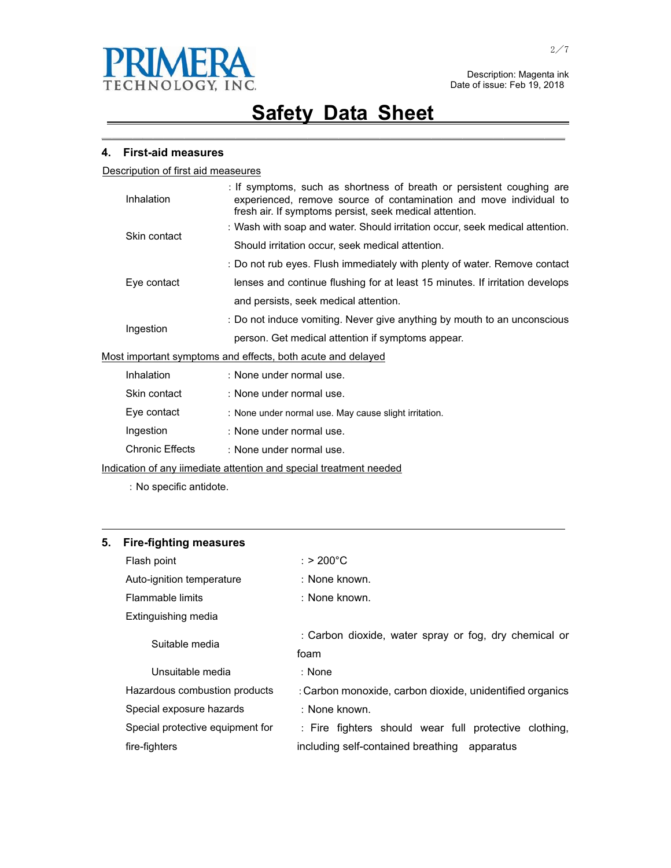

㹝㹝㹝㹝㹝㹝㹝㹝㹝㹝㹝㹝㹝㹝㹝㹝㹝㹝㹝㹝㹝㹝㹝㹝㹝㹝㹝㹝㹝㹝㹝㹝㹝㹝㹝㹝㹝㹝㹝㹝㹝㹝㹝㹝㹝

#### **4. First-aid measures**

Descripution of first aid measeures

|                                                             | Inhalation                                                               | : If symptoms, such as shortness of breath or persistent coughing are<br>experienced, remove source of contamination and move individual to<br>fresh air. If symptoms persist, seek medical attention. |
|-------------------------------------------------------------|--------------------------------------------------------------------------|--------------------------------------------------------------------------------------------------------------------------------------------------------------------------------------------------------|
|                                                             | Skin contact                                                             | : Wash with soap and water. Should irritation occur, seek medical attention.                                                                                                                           |
|                                                             |                                                                          | Should irritation occur, seek medical attention.                                                                                                                                                       |
|                                                             |                                                                          | : Do not rub eyes. Flush immediately with plenty of water. Remove contact                                                                                                                              |
|                                                             | Eye contact                                                              | lenses and continue flushing for at least 15 minutes. If irritation develops                                                                                                                           |
|                                                             |                                                                          | and persists, seek medical attention.                                                                                                                                                                  |
| Ingestion                                                   | : Do not induce vomiting. Never give anything by mouth to an unconscious |                                                                                                                                                                                                        |
|                                                             |                                                                          | person. Get medical attention if symptoms appear.                                                                                                                                                      |
| Most important symptoms and effects, both acute and delayed |                                                                          |                                                                                                                                                                                                        |
|                                                             | Inhalation                                                               | : None under normal use.                                                                                                                                                                               |
|                                                             | Skin contact                                                             | : None under normal use.                                                                                                                                                                               |
|                                                             | Eye contact                                                              | : None under normal use. May cause slight irritation.                                                                                                                                                  |
|                                                             | Ingestion                                                                | : None under normal use.                                                                                                                                                                               |

Chronic Effects : None under normal use.

Indication of any iimediate attention and special treatment needed

: No specific antidote.

### **5. Fire-fighting measures**

| Flash point                      | $:$ > 200°C                                              |
|----------------------------------|----------------------------------------------------------|
| Auto-ignition temperature        | : None known.                                            |
| Flammable limits                 | : None known.                                            |
| Extinguishing media              |                                                          |
| Suitable media                   | : Carbon dioxide, water spray or fog, dry chemical or    |
|                                  | foam                                                     |
| Unsuitable media                 | : None                                                   |
| Hazardous combustion products    | : Carbon monoxide, carbon dioxide, unidentified organics |
| Special exposure hazards         | : None known.                                            |
| Special protective equipment for | : Fire fighters should wear full protective clothing,    |
| fire-fighters                    | including self-contained breathing<br>apparatus          |

<u> 1989 - Johann Stoff, amerikansk politiker (d. 1989)</u>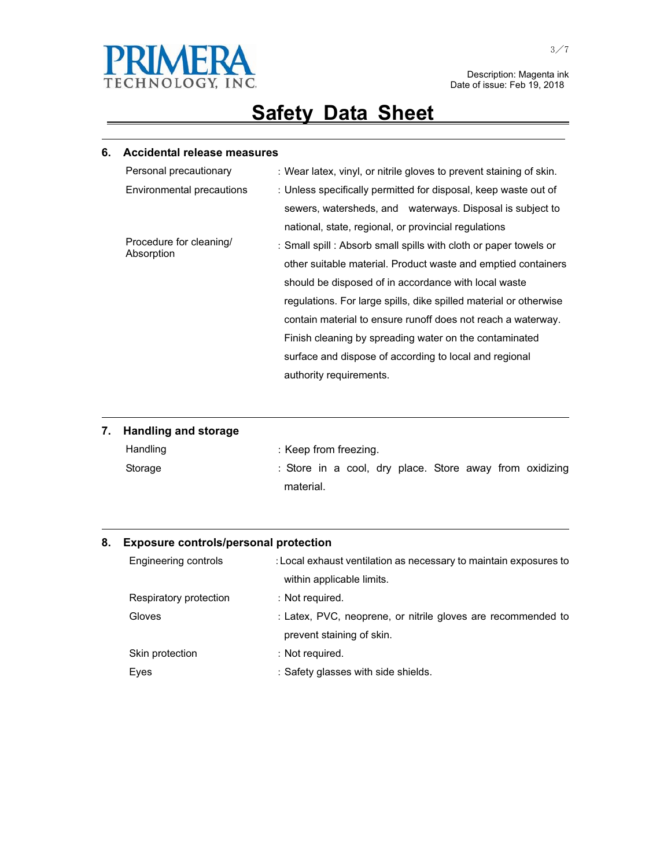

# **Safety Data Sheet**

<u> 1989 - Johann Stoff, amerikansk politiker (d. 1989)</u>

### **6. Accidental release measures**

| Personal precautionary                | : Wear latex, vinyl, or nitrile gloves to prevent staining of skin. |
|---------------------------------------|---------------------------------------------------------------------|
| Environmental precautions             | : Unless specifically permitted for disposal, keep waste out of     |
|                                       | sewers, watersheds, and waterways. Disposal is subject to           |
|                                       | national, state, regional, or provincial regulations                |
| Procedure for cleaning/<br>Absorption | : Small spill : Absorb small spills with cloth or paper towels or   |
|                                       | other suitable material. Product waste and emptied containers       |
|                                       | should be disposed of in accordance with local waste                |
|                                       | regulations. For large spills, dike spilled material or otherwise   |
|                                       | contain material to ensure runoff does not reach a waterway.        |
|                                       | Finish cleaning by spreading water on the contaminated              |
|                                       | surface and dispose of according to local and regional              |
|                                       | authority requirements.                                             |

### **7. Handling and storage**

| Handling | : Keep from freezing.                                   |  |
|----------|---------------------------------------------------------|--|
| Storage  | : Store in a cool, dry place. Store away from oxidizing |  |
|          | material.                                               |  |

<u> 1989 - Johann Stoff, amerikansk politiker (d. 1989)</u>

<u> 1989 - Johann Stoff, amerikansk politiker (d. 1989)</u>

### **8. Exposure controls/personal protection**

| Engineering controls   | : Local exhaust ventilation as necessary to maintain exposures to |
|------------------------|-------------------------------------------------------------------|
|                        | within applicable limits.                                         |
| Respiratory protection | : Not required.                                                   |
| Gloves                 | : Latex, PVC, neoprene, or nitrile gloves are recommended to      |
|                        | prevent staining of skin.                                         |
| Skin protection        | : Not required.                                                   |
| Eyes                   | : Safety glasses with side shields.                               |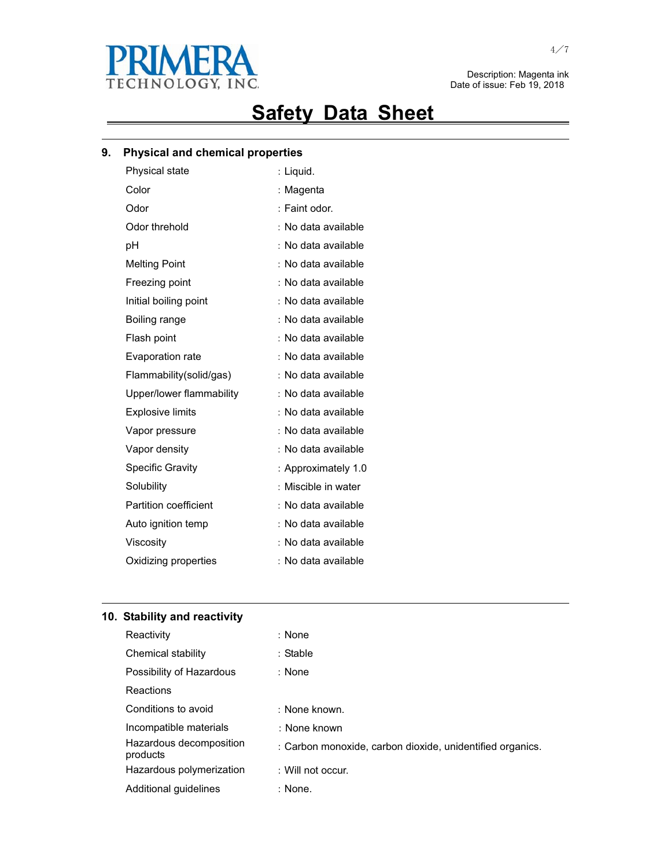

# **Safety Data Sheet**

<u> 1989 - Johann Stoff, amerikansk politiker (d. 1989)</u>

### **9. Physical and chemical properties**

| Physical state               | : Liquid.           |
|------------------------------|---------------------|
| Color                        | : Magenta           |
| Odor                         | : Faint odor.       |
| Odor threhold                | No data available   |
| рH                           | : No data available |
| <b>Melting Point</b>         | : No data available |
| Freezing point               | : No data available |
| Initial boiling point        | No data available   |
| Boiling range                | No data available   |
| Flash point                  | : No data available |
| <b>Evaporation rate</b>      | No data available   |
| Flammability(solid/gas)      | : No data available |
| Upper/lower flammability     | No data available   |
| <b>Explosive limits</b>      | No data available   |
| Vapor pressure               | No data available   |
| Vapor density                | : No data available |
| <b>Specific Gravity</b>      | : Approximately 1.0 |
| Solubility                   | Miscible in water   |
| <b>Partition coefficient</b> | : No data available |
| Auto ignition temp           | : No data available |
| Viscosity                    | No data available   |
| Oxidizing properties         | : No data available |
|                              |                     |

### **10. Stability and reactivity**

| Reactivity                          | : None                                                    |
|-------------------------------------|-----------------------------------------------------------|
| Chemical stability                  | : Stable                                                  |
| Possibility of Hazardous            | : None                                                    |
| Reactions                           |                                                           |
| Conditions to avoid                 | : None known.                                             |
| Incompatible materials              | : None known                                              |
| Hazardous decomposition<br>products | : Carbon monoxide, carbon dioxide, unidentified organics. |
| Hazardous polymerization            | : Will not occur.                                         |
| Additional quidelines               | : None.                                                   |

<u> 1989 - Johann Stoff, amerikansk politiker (\* 1908)</u>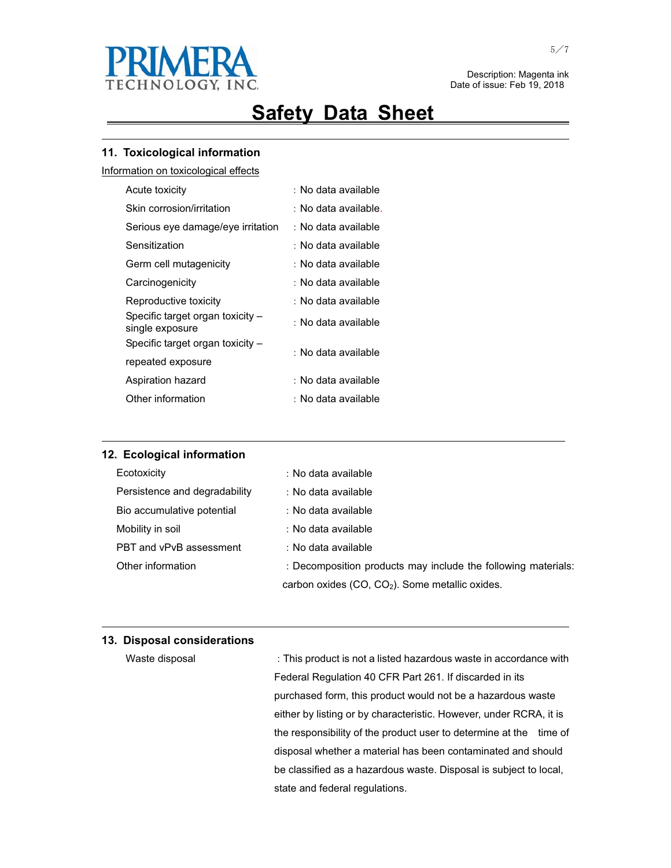

# **Safety Data Sheet**

<u> 1989 - Johann Stoff, amerikansk politiker (d. 1989)</u>

### **11. Toxicological information**

Information on toxicological effects

| Acute toxicity                                      | : No data available  |
|-----------------------------------------------------|----------------------|
| Skin corrosion/irritation                           | : No data available. |
| Serious eye damage/eye irritation                   | : No data available  |
| Sensitization                                       | : No data available  |
| Germ cell mutagenicity                              | : No data available  |
| Carcinogenicity                                     | : No data available  |
| Reproductive toxicity                               | : No data available  |
| Specific target organ toxicity -<br>single exposure | : No data available  |
| Specific target organ toxicity -                    | : No data available  |
| repeated exposure                                   |                      |
| Aspiration hazard                                   | : No data available  |
| Other information                                   | : No data available  |

### **12. Ecological information**

| Ecotoxicity                   | : No data available                                           |
|-------------------------------|---------------------------------------------------------------|
| Persistence and degradability | : No data available                                           |
| Bio accumulative potential    | : No data available                                           |
| Mobility in soil              | : No data available                                           |
| PBT and vPvB assessment       | : No data available                                           |
| Other information             | : Decomposition products may include the following materials: |
|                               | carbon oxides (CO, CO <sub>2</sub> ). Some metallic oxides.   |

<u> 1989 - Johann Stoff, amerikansk politiker (d. 1989)</u>

and the control of the control of the control of the control of the control of the control of the control of the

### **13. Disposal considerations**

| Waste disposal | : This product is not a listed hazardous waste in accordance with     |
|----------------|-----------------------------------------------------------------------|
|                | Federal Regulation 40 CFR Part 261. If discarded in its               |
|                | purchased form, this product would not be a hazardous waste           |
|                | either by listing or by characteristic. However, under RCRA, it is    |
|                | the responsibility of the product user to determine at the<br>time of |
|                | disposal whether a material has been contaminated and should          |
|                | be classified as a hazardous waste. Disposal is subject to local,     |
|                | state and federal regulations.                                        |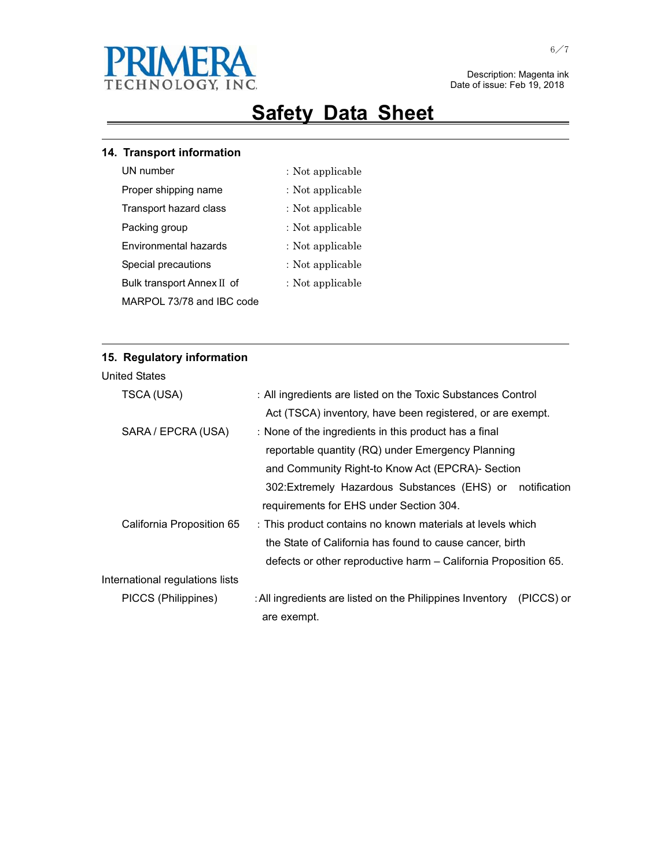

## **Safety Data Sheet**

<u> 1989 - Johann Stoff, amerikansk politiker (d. 1989)</u>

### **14. Transport information**

- 
- UN number  $\qquad \qquad :$  Not applicable
- Proper shipping name  $\cdot$  Not applicable
- Transport hazard class : Not applicable
- Packing group  $\qquad \qquad :$  Not applicable
- Environmental hazards  $\qquad \qquad :$  Not applicable
- Special precautions  $\qquad \qquad :$  Not applicable
	- : Not applicable

<u> 1989 - Johann Stoff, amerikansk politiker (d. 1989)</u>

MARPOL 73/78 and IBC code

Bulk transport Annex II of

### **15. Regulatory information**

| TSCA (USA)                      | : All ingredients are listed on the Toxic Substances Control            |  |  |  |  |
|---------------------------------|-------------------------------------------------------------------------|--|--|--|--|
|                                 | Act (TSCA) inventory, have been registered, or are exempt.              |  |  |  |  |
| SARA / EPCRA (USA)              | : None of the ingredients in this product has a final                   |  |  |  |  |
|                                 | reportable quantity (RQ) under Emergency Planning                       |  |  |  |  |
|                                 | and Community Right-to Know Act (EPCRA)- Section                        |  |  |  |  |
|                                 | notification<br>302: Extremely Hazardous Substances (EHS) or            |  |  |  |  |
|                                 | requirements for EHS under Section 304.                                 |  |  |  |  |
| California Proposition 65       | : This product contains no known materials at levels which              |  |  |  |  |
|                                 | the State of California has found to cause cancer, birth                |  |  |  |  |
|                                 | defects or other reproductive harm – California Proposition 65.         |  |  |  |  |
| International regulations lists |                                                                         |  |  |  |  |
| PICCS (Philippines)             | : All ingredients are listed on the Philippines Inventory<br>(PICCS) or |  |  |  |  |
|                                 | are exempt.                                                             |  |  |  |  |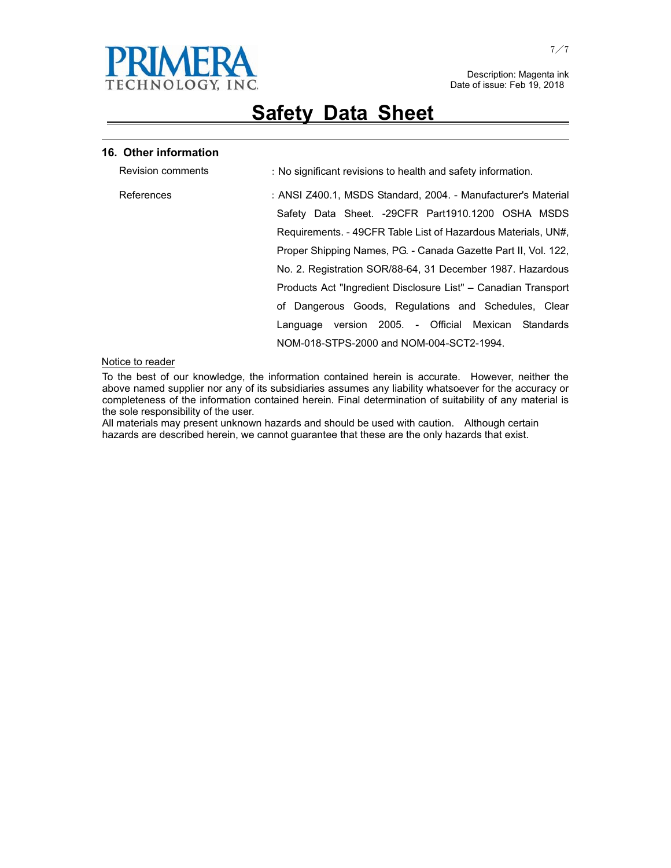

<u> 1989 - Johann Stoff, amerikansk politiker (d. 1989)</u>

#### **16. Other information**

| <b>Revision comments</b> | : No significant revisions to health and safety information.   |
|--------------------------|----------------------------------------------------------------|
| References               | : ANSI Z400.1, MSDS Standard, 2004. - Manufacturer's Material  |
|                          | Safety Data Sheet. -29CFR Part1910.1200 OSHA MSDS              |
|                          | Requirements. - 49CFR Table List of Hazardous Materials, UN#,  |
|                          | Proper Shipping Names, PG. - Canada Gazette Part II, Vol. 122, |
|                          | No. 2. Registration SOR/88-64, 31 December 1987. Hazardous     |
|                          | Products Act "Ingredient Disclosure List" – Canadian Transport |
|                          | of Dangerous Goods, Regulations and Schedules, Clear           |
|                          | version 2005. - Official Mexican Standards<br>Language         |
|                          | NOM-018-STPS-2000 and NOM-004-SCT2-1994.                       |

#### Notice to reader

To the best of our knowledge, the information contained herein is accurate. However, neither the above named supplier nor any of its subsidiaries assumes any liability whatsoever for the accuracy or completeness of the information contained herein. Final determination of suitability of any material is the sole responsibility of the user.

All materials may present unknown hazards and should be used with caution. Although certain hazards are described herein, we cannot guarantee that these are the only hazards that exist.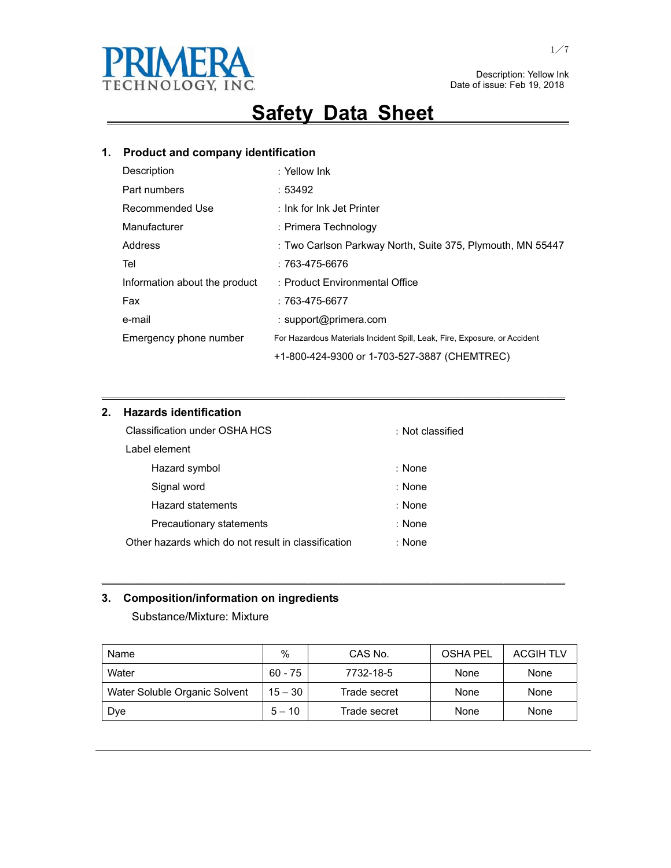

## **Safety Data Sheet**

## **1. Product and company identification**

| Description                   | : Yellow Ink                                                              |
|-------------------------------|---------------------------------------------------------------------------|
| Part numbers                  | :53492                                                                    |
| Recommended Use               | : Ink for Ink Jet Printer                                                 |
| Manufacturer                  | : Primera Technology                                                      |
| Address                       | : Two Carlson Parkway North, Suite 375, Plymouth, MN 55447                |
| Tel                           | $:763-475-6676$                                                           |
| Information about the product | : Product Environmental Office                                            |
| Fax                           | $:763-475-6677$                                                           |
| e-mail                        | : support@primera.com                                                     |
| Emergency phone number        | For Hazardous Materials Incident Spill, Leak, Fire, Exposure, or Accident |
|                               | +1-800-424-9300 or 1-703-527-3887 (CHEMTREC)                              |

㹝㹝㹝㹝㹝㹝㹝㹝㹝㹝㹝㹝㹝㹝㹝㹝㹝㹝㹝㹝㹝㹝㹝㹝㹝㹝㹝㹝㹝㹝㹝㹝㹝㹝㹝㹝㹝㹝㹝㹝㹝㹝㹝㹝㹝

### **2. Hazards identification**

| Classification under OSHA HCS                       | : Not classified |
|-----------------------------------------------------|------------------|
| Label element                                       |                  |
| Hazard symbol                                       | : None           |
| Signal word                                         | : None           |
| Hazard statements                                   | : None           |
| Precautionary statements                            | : None           |
| Other hazards which do not result in classification | : None           |

### **3. Composition/information on ingredients**

Substance/Mixture: Mixture

| Name                          | $\%$      | CAS No.      | <b>OSHA PEL</b> | <b>ACGIH TLV</b> |
|-------------------------------|-----------|--------------|-----------------|------------------|
| Water                         | $60 - 75$ | 7732-18-5    | None            | None             |
| Water Soluble Organic Solvent | $15 - 30$ | Trade secret | None            | None             |
| Dye                           | $5 - 10$  | Trade secret | None            | None             |

㹝㹝㹝㹝㹝㹝㹝㹝㹝㹝㹝㹝㹝㹝㹝㹝㹝㹝㹝㹝㹝㹝㹝㹝㹝㹝㹝㹝㹝㹝㹝㹝㹝㹝㹝㹝㹝㹝㹝㹝㹝㹝㹝㹝㹝

 $\overline{a}$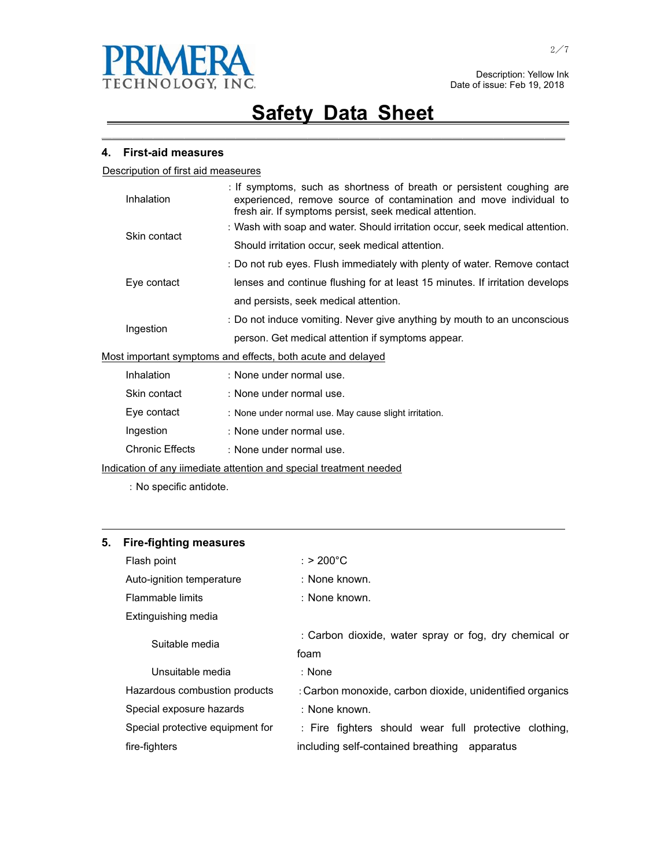

㹝㹝㹝㹝㹝㹝㹝㹝㹝㹝㹝㹝㹝㹝㹝㹝㹝㹝㹝㹝㹝㹝㹝㹝㹝㹝㹝㹝㹝㹝㹝㹝㹝㹝㹝㹝㹝㹝㹝㹝㹝㹝㹝㹝㹝

#### **4. First-aid measures**

Descripution of first aid measeures

|                                                             | Inhalation   | : If symptoms, such as shortness of breath or persistent coughing are<br>experienced, remove source of contamination and move individual to<br>fresh air. If symptoms persist, seek medical attention. |  |  |
|-------------------------------------------------------------|--------------|--------------------------------------------------------------------------------------------------------------------------------------------------------------------------------------------------------|--|--|
|                                                             | Skin contact | : Wash with soap and water. Should irritation occur, seek medical attention.                                                                                                                           |  |  |
|                                                             |              | Should irritation occur, seek medical attention.                                                                                                                                                       |  |  |
|                                                             |              | : Do not rub eyes. Flush immediately with plenty of water. Remove contact                                                                                                                              |  |  |
|                                                             | Eye contact  | lenses and continue flushing for at least 15 minutes. If irritation develops                                                                                                                           |  |  |
|                                                             |              | and persists, seek medical attention.                                                                                                                                                                  |  |  |
| Ingestion                                                   |              | : Do not induce vomiting. Never give anything by mouth to an unconscious                                                                                                                               |  |  |
|                                                             |              | person. Get medical attention if symptoms appear.                                                                                                                                                      |  |  |
| Most important symptoms and effects, both acute and delayed |              |                                                                                                                                                                                                        |  |  |
|                                                             | Inhalation   | : None under normal use.                                                                                                                                                                               |  |  |
|                                                             | Skin contact | : None under normal use.                                                                                                                                                                               |  |  |
|                                                             | Eye contact  | : None under normal use. May cause slight irritation.                                                                                                                                                  |  |  |
|                                                             | Ingestion    | : None under normal use.                                                                                                                                                                               |  |  |
|                                                             |              |                                                                                                                                                                                                        |  |  |

Chronic Effects : None under normal use.

Indication of any iimediate attention and special treatment needed

: No specific antidote.

### **5. Fire-fighting measures**

| Flash point                      | $:$ > 200°C                                              |  |  |  |
|----------------------------------|----------------------------------------------------------|--|--|--|
| Auto-ignition temperature        | : None known.                                            |  |  |  |
| Flammable limits                 | : None known.                                            |  |  |  |
| Extinguishing media              |                                                          |  |  |  |
| Suitable media                   | : Carbon dioxide, water spray or fog, dry chemical or    |  |  |  |
|                                  | foam                                                     |  |  |  |
| Unsuitable media                 | : None                                                   |  |  |  |
| Hazardous combustion products    | : Carbon monoxide, carbon dioxide, unidentified organics |  |  |  |
| Special exposure hazards         | : None known.                                            |  |  |  |
| Special protective equipment for | : Fire fighters should wear full protective clothing,    |  |  |  |
| fire-fighters                    | including self-contained breathing<br>apparatus          |  |  |  |

<u> 1989 - Johann Stoff, amerikansk politiker (d. 1989)</u>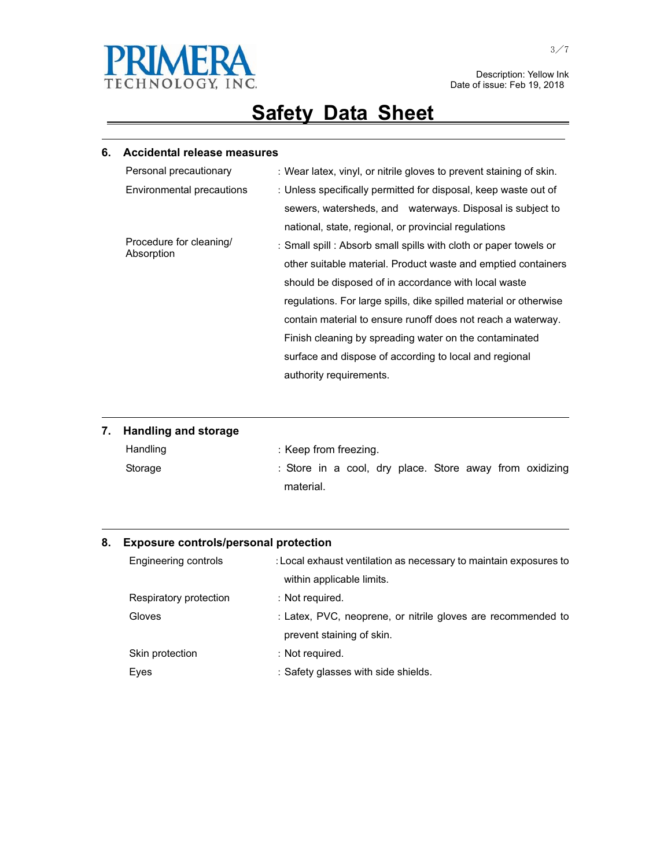

# **Safety Data Sheet**

<u> 1989 - Johann Stoff, amerikansk politiker (d. 1989)</u>

### **6. Accidental release measures**

| : Wear latex, vinyl, or nitrile gloves to prevent staining of skin. |  |  |
|---------------------------------------------------------------------|--|--|
| : Unless specifically permitted for disposal, keep waste out of     |  |  |
| sewers, watersheds, and waterways. Disposal is subject to           |  |  |
| national, state, regional, or provincial regulations                |  |  |
| : Small spill : Absorb small spills with cloth or paper towels or   |  |  |
| other suitable material. Product waste and emptied containers       |  |  |
| should be disposed of in accordance with local waste                |  |  |
| regulations. For large spills, dike spilled material or otherwise   |  |  |
| contain material to ensure runoff does not reach a waterway.        |  |  |
| Finish cleaning by spreading water on the contaminated              |  |  |
| surface and dispose of according to local and regional              |  |  |
| authority requirements.                                             |  |  |
|                                                                     |  |  |

| 7. Handling and storage |                                                         |
|-------------------------|---------------------------------------------------------|
| Handling                | : Keep from freezing.                                   |
| Storage                 | : Store in a cool, dry place. Store away from oxidizing |
|                         | material.                                               |

<u> 1989 - Johann Stoff, amerikansk politiker (d. 1989)</u>

<u> 1989 - Johann Stoff, amerikansk politiker (d. 1989)</u>

### **8. Exposure controls/personal protection**

| Engineering controls   | : Local exhaust ventilation as necessary to maintain exposures to |  |
|------------------------|-------------------------------------------------------------------|--|
|                        | within applicable limits.                                         |  |
| Respiratory protection | : Not required.                                                   |  |
| Gloves                 | : Latex, PVC, neoprene, or nitrile gloves are recommended to      |  |
|                        | prevent staining of skin.                                         |  |
| Skin protection        | : Not required.                                                   |  |
| Eyes                   | : Safety glasses with side shields.                               |  |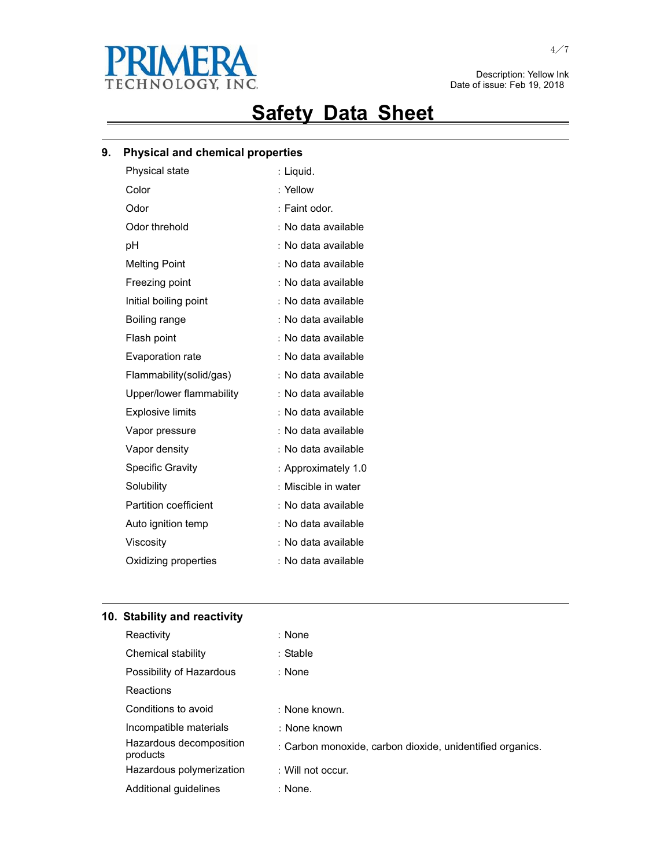

# **Safety Data Sheet**

<u> 1989 - Johann Stoff, amerikansk politiker (d. 1989)</u>

### **9. Physical and chemical properties**

| Physical state           | : Liquid.           |
|--------------------------|---------------------|
| Color                    | : Yellow            |
| Odor                     | : Faint odor.       |
| Odor threhold            | No data available   |
| рH                       | : No data available |
| <b>Melting Point</b>     | : No data available |
| Freezing point           | : No data available |
| Initial boiling point    | No data available   |
| Boiling range            | No data available   |
| Flash point              | : No data available |
| Evaporation rate         | No data available   |
| Flammability(solid/gas)  | : No data available |
| Upper/lower flammability | No data available   |
| <b>Explosive limits</b>  | No data available   |
| Vapor pressure           | : No data available |
| Vapor density            | : No data available |
| <b>Specific Gravity</b>  | : Approximately 1.0 |
| Solubility               | Miscible in water   |
| Partition coefficient    | : No data available |
| Auto ignition temp       | : No data available |
| Viscosity                | No data available   |
| Oxidizing properties     | : No data available |
|                          |                     |

### **10. Stability and reactivity**

| Reactivity                          | : None                                                    |
|-------------------------------------|-----------------------------------------------------------|
| Chemical stability                  | : Stable                                                  |
| Possibility of Hazardous            | : None                                                    |
| Reactions                           |                                                           |
| Conditions to avoid                 | : None known.                                             |
| Incompatible materials              | : None known                                              |
| Hazardous decomposition<br>products | : Carbon monoxide, carbon dioxide, unidentified organics. |
| Hazardous polymerization            | : Will not occur.                                         |
| Additional quidelines               | : None.                                                   |

<u> 1989 - Johann Stoff, amerikansk politiker (\* 1908)</u>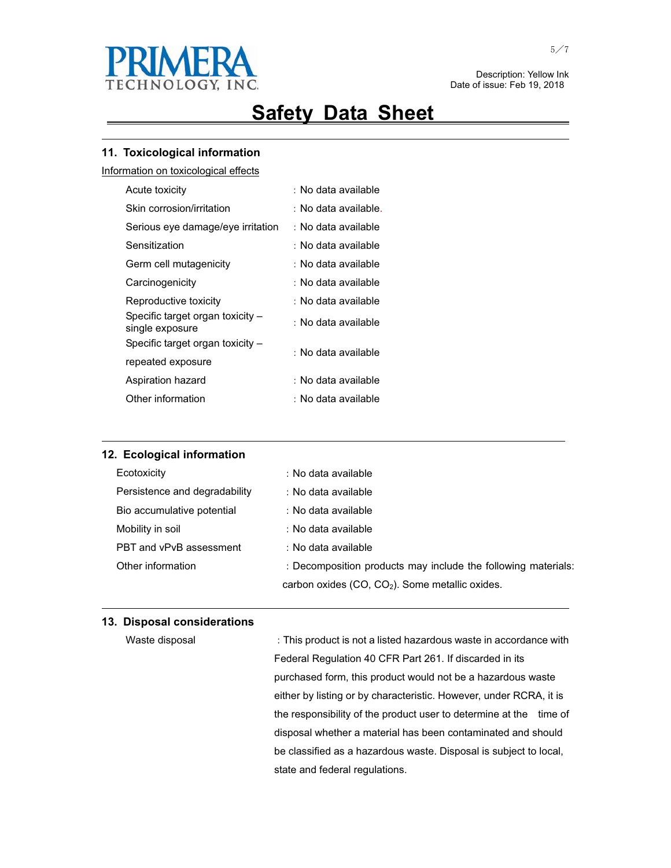

## **Safety Data Sheet**

<u> 1989 - Johann Stoff, amerikansk politiker (d. 1989)</u>

#### **11. Toxicological information**

Information on toxicological effects

| Acute toxicity                                      | : No data available  |
|-----------------------------------------------------|----------------------|
| Skin corrosion/irritation                           | : No data available. |
| Serious eye damage/eye irritation                   | : No data available  |
| Sensitization                                       | : No data available  |
| Germ cell mutagenicity                              | : No data available  |
| Carcinogenicity                                     | : No data available  |
| Reproductive toxicity                               | : No data available  |
| Specific target organ toxicity -<br>single exposure | : No data available  |
| Specific target organ toxicity -                    | : No data available  |
| repeated exposure                                   |                      |
| Aspiration hazard                                   | : No data available  |
| Other information                                   | : No data available  |
|                                                     |                      |

| 12. Ecological information    |                                                               |
|-------------------------------|---------------------------------------------------------------|
| Ecotoxicity                   | : No data available                                           |
| Persistence and degradability | : No data available                                           |
| Bio accumulative potential    | : No data available                                           |
| Mobility in soil              | : No data available                                           |
| PBT and vPvB assessment       | : No data available                                           |
| Other information             | : Decomposition products may include the following materials: |
|                               | carbon oxides $(CO, CO2)$ . Some metallic oxides.             |

<u> 1989 - Johann Stoff, amerikansk politiker (d. 1989)</u>

and the control of the control of the control of the control of the control of the control of the control of the

#### **13. Disposal considerations**

Waste disposal **This product is not a listed hazardous waste in accordance with** Federal Regulation 40 CFR Part 261. If discarded in its purchased form, this product would not be a hazardous waste either by listing or by characteristic. However, under RCRA, it is the responsibility of the product user to determine at the time of disposal whether a material has been contaminated and should be classified as a hazardous waste. Disposal is subject to local, state and federal regulations.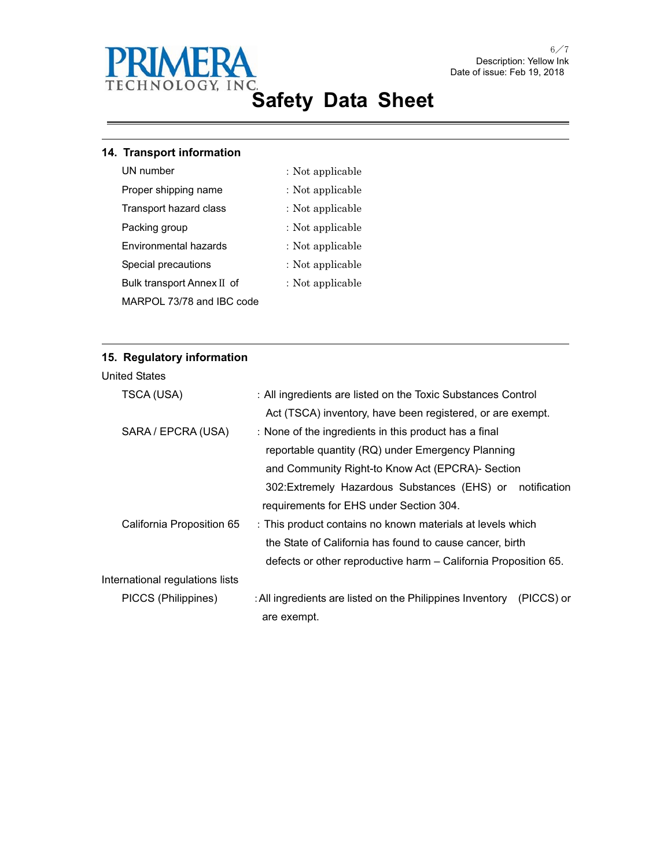

### **14. Transport information**

- UN number  $\qquad \qquad :$  Not applicable
	-
- 
- Proper shipping name  $\cdot$  Not applicable
- Transport hazard class : Not applicable
- Packing group  $\qquad \qquad :$  Not applicable
- Environmental hazards : Not applicable
- Special precautions  $\qquad \qquad :$  Not applicable
	- : Not applicable

MARPOL 73/78 and IBC code

Bulk transport Annex II of

<u> 1989 - Johann Stoff, amerikansk politiker (d. 1989)</u>

### **15. Regulatory information**

| TSCA (USA)                      | : All ingredients are listed on the Toxic Substances Control            |
|---------------------------------|-------------------------------------------------------------------------|
|                                 | Act (TSCA) inventory, have been registered, or are exempt.              |
| SARA / EPCRA (USA)              | : None of the ingredients in this product has a final                   |
|                                 | reportable quantity (RQ) under Emergency Planning                       |
|                                 | and Community Right-to Know Act (EPCRA)- Section                        |
|                                 | 302: Extremely Hazardous Substances (EHS) or<br>notification            |
|                                 | requirements for EHS under Section 304.                                 |
| California Proposition 65       | : This product contains no known materials at levels which              |
|                                 | the State of California has found to cause cancer, birth                |
|                                 | defects or other reproductive harm - California Proposition 65.         |
| International regulations lists |                                                                         |
| PICCS (Philippines)             | : All ingredients are listed on the Philippines Inventory<br>(PICCS) or |
|                                 | are exempt.                                                             |